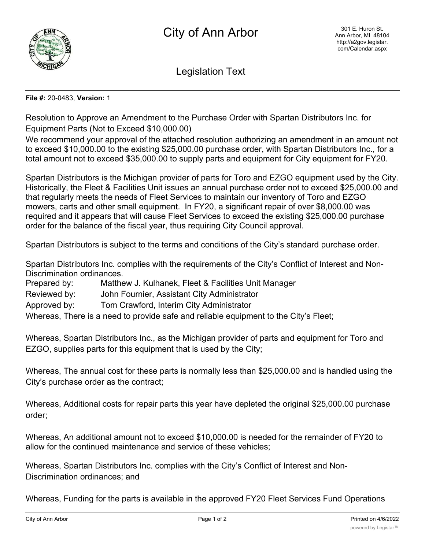

Legislation Text

## **File #:** 20-0483, **Version:** 1

Resolution to Approve an Amendment to the Purchase Order with Spartan Distributors Inc. for Equipment Parts (Not to Exceed \$10,000.00)

We recommend your approval of the attached resolution authorizing an amendment in an amount not to exceed \$10,000.00 to the existing \$25,000.00 purchase order, with Spartan Distributors Inc., for a total amount not to exceed \$35,000.00 to supply parts and equipment for City equipment for FY20.

Spartan Distributors is the Michigan provider of parts for Toro and EZGO equipment used by the City. Historically, the Fleet & Facilities Unit issues an annual purchase order not to exceed \$25,000.00 and that regularly meets the needs of Fleet Services to maintain our inventory of Toro and EZGO mowers, carts and other small equipment. In FY20, a significant repair of over \$8,000.00 was required and it appears that will cause Fleet Services to exceed the existing \$25,000.00 purchase order for the balance of the fiscal year, thus requiring City Council approval.

Spartan Distributors is subject to the terms and conditions of the City's standard purchase order.

Spartan Distributors Inc. complies with the requirements of the City's Conflict of Interest and Non-Discrimination ordinances.

Prepared by: Matthew J. Kulhanek, Fleet & Facilities Unit Manager

Reviewed by: John Fournier, Assistant City Administrator

Approved by: Tom Crawford, Interim City Administrator

Whereas, There is a need to provide safe and reliable equipment to the City's Fleet;

Whereas, Spartan Distributors Inc., as the Michigan provider of parts and equipment for Toro and EZGO, supplies parts for this equipment that is used by the City;

Whereas, The annual cost for these parts is normally less than \$25,000.00 and is handled using the City's purchase order as the contract;

Whereas, Additional costs for repair parts this year have depleted the original \$25,000.00 purchase order;

Whereas, An additional amount not to exceed \$10,000.00 is needed for the remainder of FY20 to allow for the continued maintenance and service of these vehicles;

Whereas, Spartan Distributors Inc. complies with the City's Conflict of Interest and Non-Discrimination ordinances; and

Whereas, Funding for the parts is available in the approved FY20 Fleet Services Fund Operations